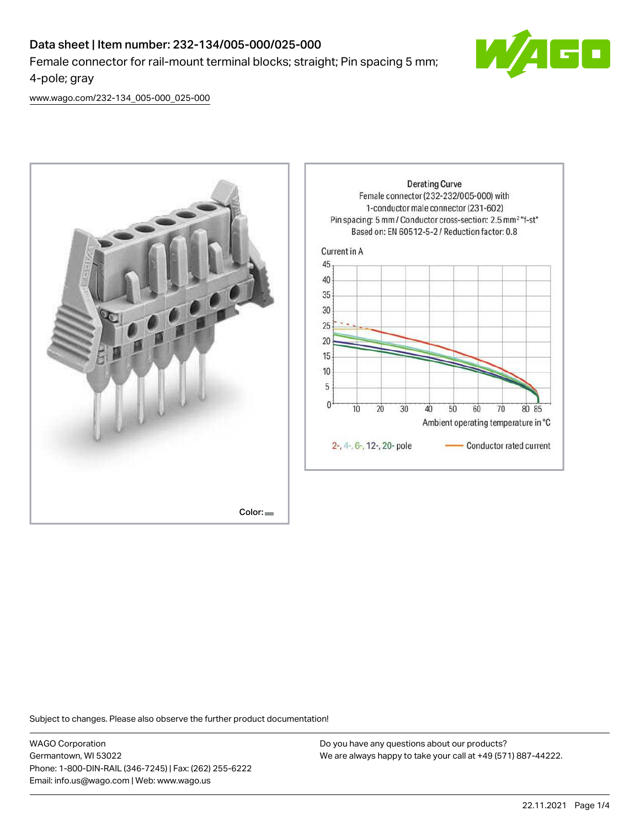

[www.wago.com/232-134\\_005-000\\_025-000](http://www.wago.com/232-134_005-000_025-000)



Subject to changes. Please also observe the further product documentation!

WAGO Corporation Germantown, WI 53022 Phone: 1-800-DIN-RAIL (346-7245) | Fax: (262) 255-6222 Email: info.us@wago.com | Web: www.wago.us

Do you have any questions about our products? We are always happy to take your call at +49 (571) 887-44222.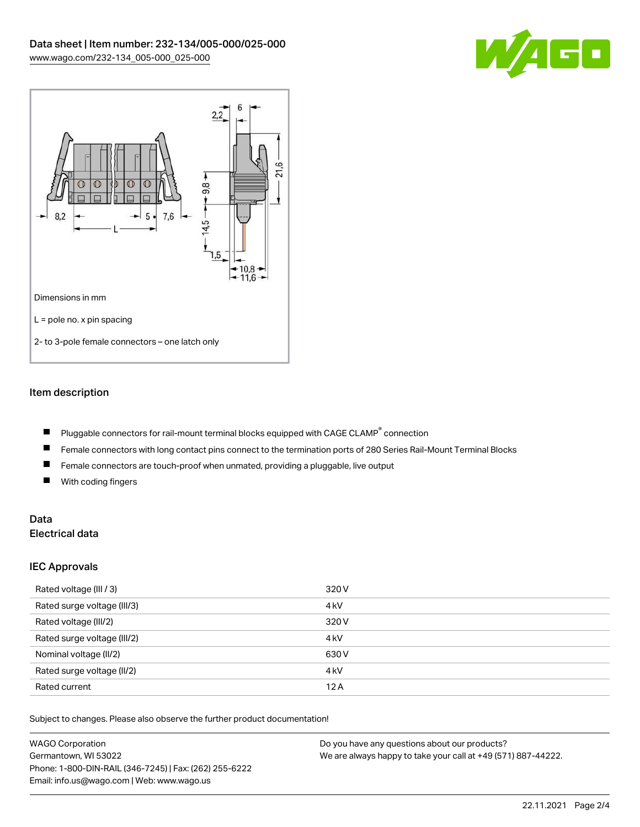



# Item description

- Pluggable connectors for rail-mount terminal blocks equipped with CAGE CLAMP $^{\circ}$  connection  $\blacksquare$
- $\blacksquare$ Female connectors with long contact pins connect to the termination ports of 280 Series Rail-Mount Terminal Blocks
- $\blacksquare$ Female connectors are touch-proof when unmated, providing a pluggable, live output
- $\blacksquare$ With coding fingers

# Data Electrical data

### IEC Approvals

| Rated voltage (III / 3)     | 320 V            |
|-----------------------------|------------------|
| Rated surge voltage (III/3) | 4 <sub>k</sub> V |
| Rated voltage (III/2)       | 320 V            |
| Rated surge voltage (III/2) | 4 <sub>k</sub> V |
| Nominal voltage (II/2)      | 630 V            |
| Rated surge voltage (II/2)  | 4 <sub>k</sub> V |
| Rated current               | 12A              |

Subject to changes. Please also observe the further product documentation!

| <b>WAGO Corporation</b>                                | Do you have any questions about our products?                 |
|--------------------------------------------------------|---------------------------------------------------------------|
| Germantown, WI 53022                                   | We are always happy to take your call at +49 (571) 887-44222. |
| Phone: 1-800-DIN-RAIL (346-7245)   Fax: (262) 255-6222 |                                                               |
| Email: info.us@wago.com   Web: www.wago.us             |                                                               |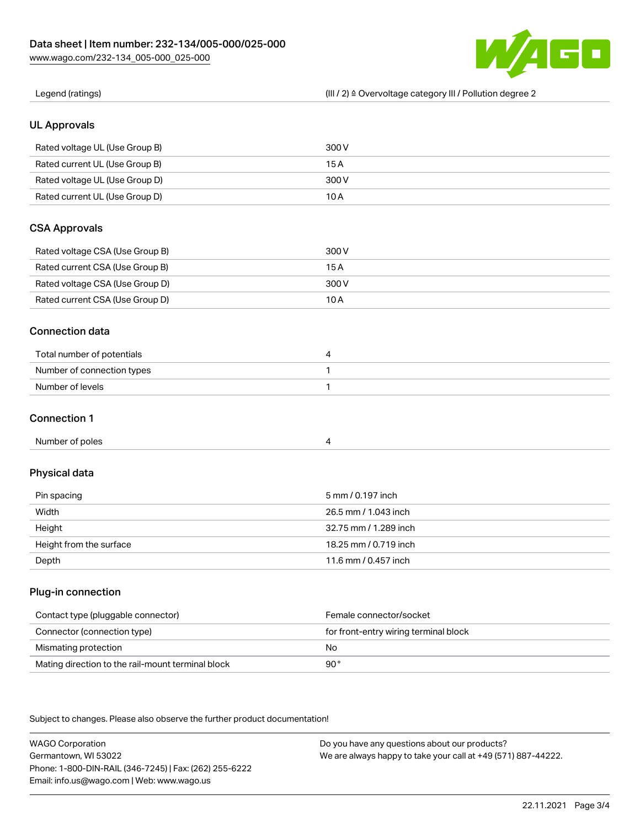

| Legend (ratings)                                  | (III / 2) ≙ Overvoltage category III / Pollution degree 2 |
|---------------------------------------------------|-----------------------------------------------------------|
| <b>UL Approvals</b>                               |                                                           |
| Rated voltage UL (Use Group B)                    | 300V                                                      |
| Rated current UL (Use Group B)                    | 15A                                                       |
| Rated voltage UL (Use Group D)                    | 300V                                                      |
| Rated current UL (Use Group D)                    | 10A                                                       |
| <b>CSA Approvals</b>                              |                                                           |
| Rated voltage CSA (Use Group B)                   | 300V                                                      |
| Rated current CSA (Use Group B)                   | 15A                                                       |
| Rated voltage CSA (Use Group D)                   | 300 V                                                     |
| Rated current CSA (Use Group D)                   | 10A                                                       |
| <b>Connection data</b>                            |                                                           |
| Total number of potentials                        | 4                                                         |
| Number of connection types                        | 1                                                         |
| Number of levels                                  | 1                                                         |
| <b>Connection 1</b>                               |                                                           |
| Number of poles                                   | 4                                                         |
| Physical data                                     |                                                           |
| Pin spacing                                       | 5 mm / 0.197 inch                                         |
|                                                   |                                                           |
| Width                                             | 26.5 mm / 1.043 inch                                      |
| Height                                            | 32.75 mm / 1.289 inch                                     |
| Height from the surface                           | 18.25 mm / 0.719 inch                                     |
| Depth                                             | 11.6 mm / 0.457 inch                                      |
|                                                   |                                                           |
| Contact type (pluggable connector)                | Female connector/socket                                   |
| Plug-in connection<br>Connector (connection type) | for front-entry wiring terminal block                     |
| Mismating protection                              | No                                                        |

WAGO Corporation Germantown, WI 53022 Phone: 1-800-DIN-RAIL (346-7245) | Fax: (262) 255-6222 Email: info.us@wago.com | Web: www.wago.us Do you have any questions about our products? We are always happy to take your call at +49 (571) 887-44222.